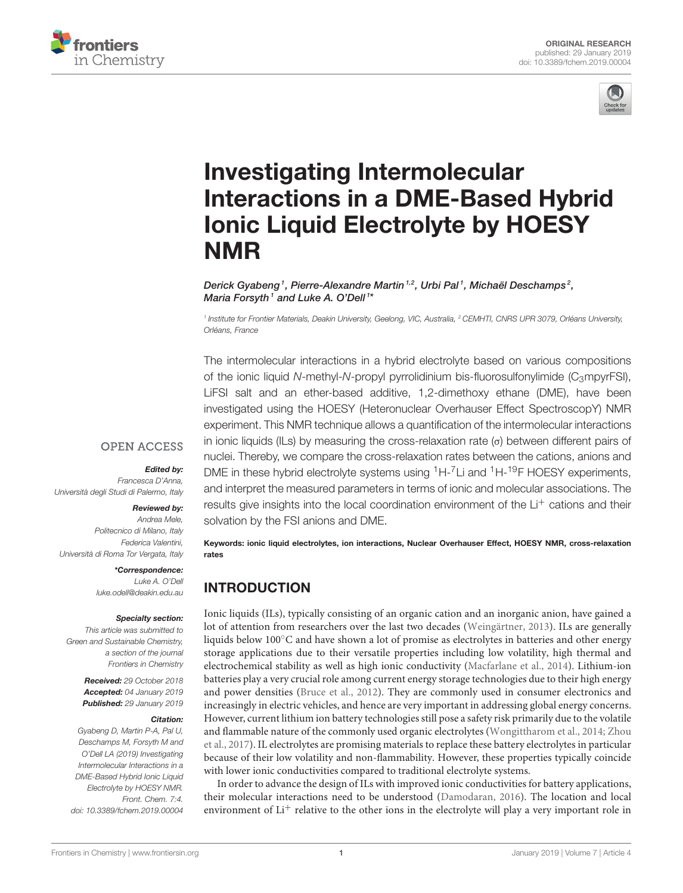



# Investigating Intermolecular [Interactions in a DME-Based Hybrid](https://www.frontiersin.org/articles/10.3389/fchem.2019.00004/full) Ionic Liquid Electrolyte by HOESY NMR

[Derick Gyabeng](http://loop.frontiersin.org/people/655961/overview)1, Pierre-Alexandre Martin1,2, Urbi Pal1, Michaël Deschamps2, Maria Forsyth1 and [Luke A. O'Dell](http://loop.frontiersin.org/people/634977/overview)1\*

<sup>1</sup> Institute for Frontier Materials, Deakin University, Geelong, VIC, Australia, <sup>2</sup> CEMHTI, CNRS UPR 3079, Orléans University, Orléans, France

The intermolecular interactions in a hybrid electrolyte based on various compositions of the ionic liquid N-methyl-N-propyl pyrrolidinium bis-fluorosulfonylimide ( $C_3$ mpyrFSI), LiFSI salt and an ether-based additive, 1,2-dimethoxy ethane (DME), have been investigated using the HOESY (Heteronuclear Overhauser Effect SpectroscopY) NMR experiment. This NMR technique allows a quantification of the intermolecular interactions in ionic liquids (ILs) by measuring the cross-relaxation rate (σ) between different pairs of nuclei. Thereby, we compare the cross-relaxation rates between the cations, anions and DME in these hybrid electrolyte systems using  ${}^{1}H-{}^{7}Li$  and  ${}^{1}H-{}^{19}F$  HOESY experiments, and interpret the measured parameters in terms of ionic and molecular associations. The results give insights into the local coordination environment of the Li<sup>+</sup> cations and their solvation by the FSI anions and DME.

Keywords: ionic liquid electrolytes, ion interactions, Nuclear Overhauser Effect, HOESY NMR, cross-relaxation rates

# INTRODUCTION

Ionic liquids (ILs), typically consisting of an organic cation and an inorganic anion, have gained a lot of attention from researchers over the last two decades [\(Weingärtner, 2013\)](#page-5-0). ILs are generally liquids below 100◦C and have shown a lot of promise as electrolytes in batteries and other energy storage applications due to their versatile properties including low volatility, high thermal and electrochemical stability as well as high ionic conductivity [\(Macfarlane et al., 2014\)](#page-5-1). Lithium-ion batteries play a very crucial role among current energy storage technologies due to their high energy and power densities [\(Bruce et al., 2012\)](#page-4-0). They are commonly used in consumer electronics and increasingly in electric vehicles, and hence are very important in addressing global energy concerns. However, current lithium ion battery technologies still pose a safety risk primarily due to the volatile and flammable nature of the commonly used organic electrolytes [\(Wongittharom et al., 2014;](#page-5-2) Zhou et al., [2017\)](#page-5-3). IL electrolytes are promising materials to replace these battery electrolytes in particular because of their low volatility and non-flammability. However, these properties typically coincide with lower ionic conductivities compared to traditional electrolyte systems.

In order to advance the design of ILs with improved ionic conductivities for battery applications, their molecular interactions need to be understood [\(Damodaran, 2016\)](#page-5-4). The location and local environment of  $Li<sup>+</sup>$  relative to the other ions in the electrolyte will play a very important role in

#### **OPEN ACCESS**

#### Edited by:

Francesca D'Anna, Università degli Studi di Palermo, Italy

#### Reviewed by:

Andrea Mele, Politecnico di Milano, Italy Federica Valentini, Università di Roma Tor Vergata, Italy

\*Correspondence:

Luke A. O'Dell [luke.odell@deakin.edu.au](mailto:luke.odell@deakin.edu.au)

#### Specialty section:

This article was submitted to Green and Sustainable Chemistry, a section of the journal Frontiers in Chemistry

> Received: 29 October 2018 Accepted: 04 January 2019 Published: 29 January 2019

#### Citation:

Gyabeng D, Martin P-A, Pal U, Deschamps M, Forsyth M and O'Dell LA (2019) Investigating Intermolecular Interactions in a DME-Based Hybrid Ionic Liquid Electrolyte by HOESY NMR. Front. Chem. 7:4. doi: [10.3389/fchem.2019.00004](https://doi.org/10.3389/fchem.2019.00004)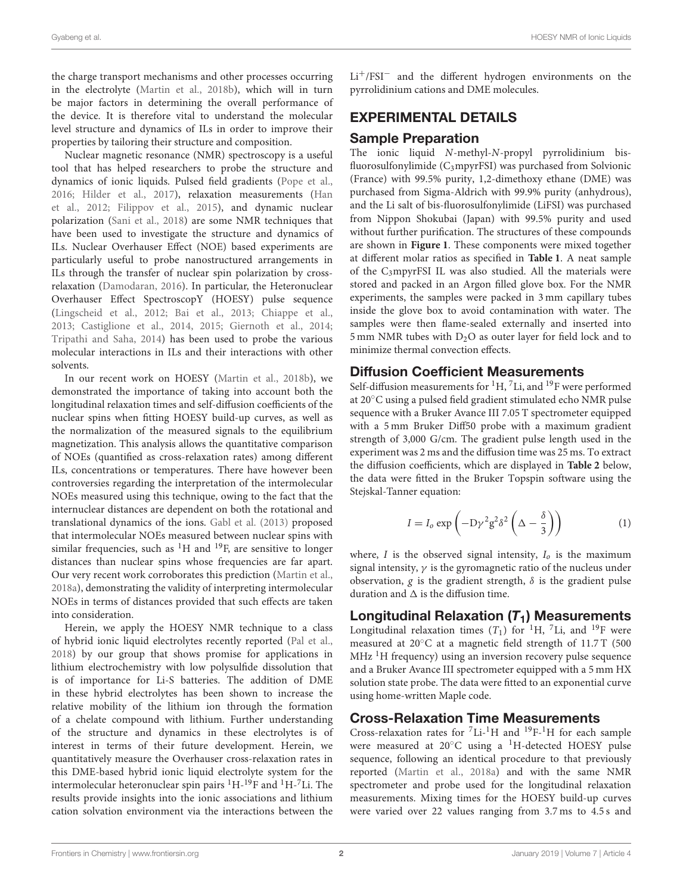the charge transport mechanisms and other processes occurring in the electrolyte [\(Martin et al., 2018b\)](#page-5-5), which will in turn be major factors in determining the overall performance of the device. It is therefore vital to understand the molecular level structure and dynamics of ILs in order to improve their properties by tailoring their structure and composition.

Nuclear magnetic resonance (NMR) spectroscopy is a useful tool that has helped researchers to probe the structure and dynamics of ionic liquids. Pulsed field gradients [\(Pope et al.,](#page-5-6) [2016;](#page-5-6) [Hilder et al., 2017\)](#page-5-7), relaxation measurements (Han et al., [2012;](#page-5-8) [Filippov et al., 2015\)](#page-5-9), and dynamic nuclear polarization [\(Sani et al., 2018\)](#page-5-10) are some NMR techniques that have been used to investigate the structure and dynamics of ILs. Nuclear Overhauser Effect (NOE) based experiments are particularly useful to probe nanostructured arrangements in ILs through the transfer of nuclear spin polarization by crossrelaxation [\(Damodaran, 2016\)](#page-5-4). In particular, the Heteronuclear Overhauser Effect SpectroscopY (HOESY) pulse sequence [\(Lingscheid et al., 2012;](#page-5-11) [Bai et al., 2013;](#page-4-1) [Chiappe et al.,](#page-5-12) [2013;](#page-5-12) [Castiglione et al., 2014,](#page-5-13) [2015;](#page-4-2) [Giernoth et al., 2014;](#page-5-14) [Tripathi and Saha, 2014\)](#page-5-15) has been used to probe the various molecular interactions in ILs and their interactions with other solvents.

In our recent work on HOESY [\(Martin et al., 2018b\)](#page-5-5), we demonstrated the importance of taking into account both the longitudinal relaxation times and self-diffusion coefficients of the nuclear spins when fitting HOESY build-up curves, as well as the normalization of the measured signals to the equilibrium magnetization. This analysis allows the quantitative comparison of NOEs (quantified as cross-relaxation rates) among different ILs, concentrations or temperatures. There have however been controversies regarding the interpretation of the intermolecular NOEs measured using this technique, owing to the fact that the internuclear distances are dependent on both the rotational and translational dynamics of the ions. [Gabl et al. \(2013\)](#page-5-16) proposed that intermolecular NOEs measured between nuclear spins with similar frequencies, such as  ${}^{1}H$  and  ${}^{19}F$ , are sensitive to longer distances than nuclear spins whose frequencies are far apart. Our very recent work corroborates this prediction [\(Martin et al.,](#page-5-17) [2018a\)](#page-5-17), demonstrating the validity of interpreting intermolecular NOEs in terms of distances provided that such effects are taken into consideration.

Herein, we apply the HOESY NMR technique to a class of hybrid ionic liquid electrolytes recently reported [\(Pal et al.,](#page-5-18) [2018\)](#page-5-18) by our group that shows promise for applications in lithium electrochemistry with low polysulfide dissolution that is of importance for Li-S batteries. The addition of DME in these hybrid electrolytes has been shown to increase the relative mobility of the lithium ion through the formation of a chelate compound with lithium. Further understanding of the structure and dynamics in these electrolytes is of interest in terms of their future development. Herein, we quantitatively measure the Overhauser cross-relaxation rates in this DME-based hybrid ionic liquid electrolyte system for the intermolecular heteronuclear spin pairs  $^1\mathrm{H}$  -  $^1\mathrm{P}$  and  $^1\mathrm{H}$  -  $^7\mathrm{Li}.$  The results provide insights into the ionic associations and lithium cation solvation environment via the interactions between the Li+/FSI<sup>−</sup> and the different hydrogen environments on the pyrrolidinium cations and DME molecules.

# EXPERIMENTAL DETAILS

## Sample Preparation

The ionic liquid N-methyl-N-propyl pyrrolidinium bisfluorosulfonylimide (C3mpyrFSI) was purchased from Solvionic (France) with 99.5% purity, 1,2-dimethoxy ethane (DME) was purchased from Sigma-Aldrich with 99.9% purity (anhydrous), and the Li salt of bis-fluorosulfonylimide (LiFSI) was purchased from Nippon Shokubai (Japan) with 99.5% purity and used without further purification. The structures of these compounds are shown in **[Figure 1](#page-2-0)**. These components were mixed together at different molar ratios as specified in **[Table 1](#page-3-0)**. A neat sample of the C3mpyrFSI IL was also studied. All the materials were stored and packed in an Argon filled glove box. For the NMR experiments, the samples were packed in 3 mm capillary tubes inside the glove box to avoid contamination with water. The samples were then flame-sealed externally and inserted into 5 mm NMR tubes with  $D_2O$  as outer layer for field lock and to minimize thermal convection effects.

#### Diffusion Coefficient Measurements

Self-diffusion measurements for  ${}^{1}H$ ,  ${}^{7}Li$ , and  ${}^{19}F$  were performed at 20◦C using a pulsed field gradient stimulated echo NMR pulse sequence with a Bruker Avance III 7.05 T spectrometer equipped with a 5 mm Bruker Diff50 probe with a maximum gradient strength of 3,000 G/cm. The gradient pulse length used in the experiment was 2 ms and the diffusion time was 25 ms. To extract the diffusion coefficients, which are displayed in **[Table 2](#page-3-1)** below, the data were fitted in the Bruker Topspin software using the Stejskal-Tanner equation:

$$
I = I_o \exp\left(-D\gamma^2 g^2 \delta^2 \left(\Delta - \frac{\delta}{3}\right)\right) \tag{1}
$$

where,  $I$  is the observed signal intensity,  $I_0$  is the maximum signal intensity,  $\gamma$  is the gyromagnetic ratio of the nucleus under observation, g is the gradient strength,  $\delta$  is the gradient pulse duration and  $\Delta$  is the diffusion time.

## Longitudinal Relaxation  $(T_1)$  Measurements

Longitudinal relaxation times  $(T_1)$  for <sup>1</sup>H, <sup>7</sup>Li, and <sup>19</sup>F were measured at 20◦C at a magnetic field strength of 11.7 T (500  $MHz$ <sup>1</sup>H frequency) using an inversion recovery pulse sequence and a Bruker Avance III spectrometer equipped with a 5 mm HX solution state probe. The data were fitted to an exponential curve using home-written Maple code.

## Cross-Relaxation Time Measurements

Cross-relaxation rates for  ${}^{7}Li^{-1}H$  and  ${}^{19}F$ -<sup>1</sup>H for each sample were measured at 20◦C using a <sup>1</sup>H-detected HOESY pulse sequence, following an identical procedure to that previously reported [\(Martin et al., 2018a\)](#page-5-17) and with the same NMR spectrometer and probe used for the longitudinal relaxation measurements. Mixing times for the HOESY build-up curves were varied over 22 values ranging from 3.7 ms to 4.5 s and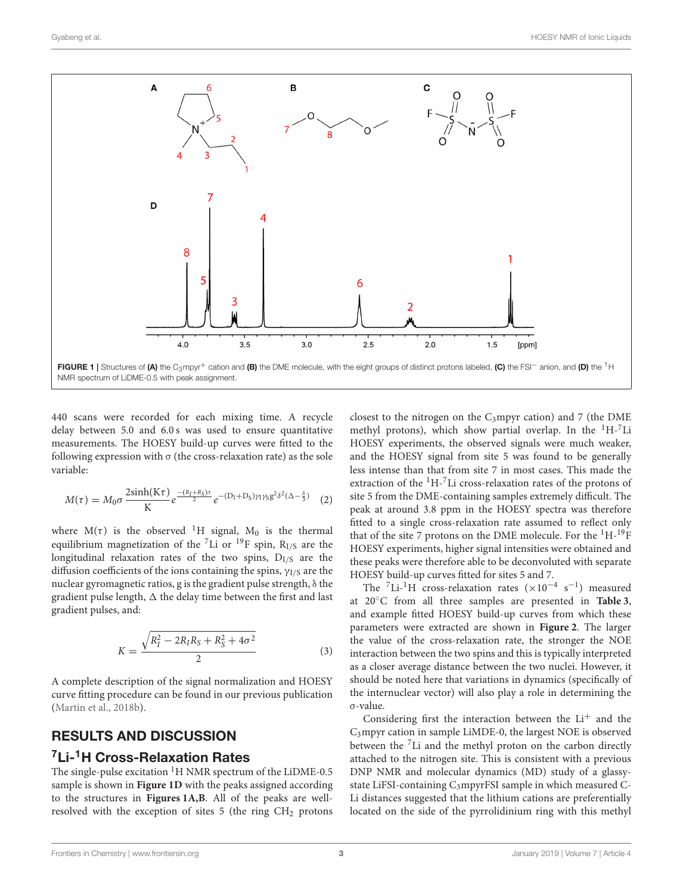

<span id="page-2-0"></span>440 scans were recorded for each mixing time. A recycle delay between 5.0 and 6.0 s was used to ensure quantitative measurements. The HOESY build-up curves were fitted to the following expression with  $\sigma$  (the cross-relaxation rate) as the sole variable:

$$
M(\tau) = M_0 \sigma \frac{2\sinh(K\tau)}{K} e^{-\frac{(R_I + R_S)\tau}{2}} e^{-(D_I + D_S)\gamma_1 \gamma_S g^2 \delta^2 (\Delta - \frac{\delta}{3})} \quad (2)
$$

where  $M(\tau)$  is the observed <sup>1</sup>H signal, M<sub>0</sub> is the thermal equilibrium magnetization of the  ${}^{7}$ Li or  ${}^{19}$ F spin, R<sub>I/S</sub> are the longitudinal relaxation rates of the two spins,  $D<sub>I/S</sub>$  are the diffusion coefficients of the ions containing the spins,  $\gamma_{I/S}$  are the nuclear gyromagnetic ratios, g is the gradient pulse strength, δ the gradient pulse length,  $\Delta$  the delay time between the first and last gradient pulses, and:

$$
K = \frac{\sqrt{R_I^2 - 2R_I R_S + R_S^2 + 4\sigma^2}}{2}
$$
\n(3)

A complete description of the signal normalization and HOESY curve fitting procedure can be found in our previous publication [\(Martin et al., 2018b\)](#page-5-5).

# RESULTS AND DISCUSSION <sup>7</sup>Li-<sup>1</sup>H Cross-Relaxation Rates

The single-pulse excitation  ${}^{1}$ H NMR spectrum of the LiDME-0.5 sample is shown in **[Figure 1D](#page-2-0)** with the peaks assigned according to the structures in **[Figures 1A,B](#page-2-0)**. All of the peaks are wellresolved with the exception of sites  $5$  (the ring  $CH<sub>2</sub>$  protons

closest to the nitrogen on the  $C_3$ mpyr cation) and 7 (the DME methyl protons), which show partial overlap. In the  ${}^{1}H-{}^{7}Li$ HOESY experiments, the observed signals were much weaker, and the HOESY signal from site 5 was found to be generally less intense than that from site 7 in most cases. This made the extraction of the <sup>1</sup>H-7Li cross-relaxation rates of the protons of site 5 from the DME-containing samples extremely difficult. The peak at around 3.8 ppm in the HOESY spectra was therefore fitted to a single cross-relaxation rate assumed to reflect only that of the site 7 protons on the DME molecule. For the  ${}^{1}H-{}^{19}F$ HOESY experiments, higher signal intensities were obtained and these peaks were therefore able to be deconvoluted with separate HOESY build-up curves fitted for sites 5 and 7.

The <sup>7</sup>Li-<sup>1</sup>H cross-relaxation rates ( $\times 10^{-4}$  s<sup>-1</sup>) measured at 20◦C from all three samples are presented in **[Table 3](#page-3-2)**, and example fitted HOESY build-up curves from which these parameters were extracted are shown in **[Figure 2](#page-3-3)**. The larger the value of the cross-relaxation rate, the stronger the NOE interaction between the two spins and this is typically interpreted as a closer average distance between the two nuclei. However, it should be noted here that variations in dynamics (specifically of the internuclear vector) will also play a role in determining the σ-value.

Considering first the interaction between the  $Li<sup>+</sup>$  and the C3mpyr cation in sample LiMDE-0, the largest NOE is observed between the  ${}^{7}$ Li and the methyl proton on the carbon directly attached to the nitrogen site. This is consistent with a previous DNP NMR and molecular dynamics (MD) study of a glassystate LiFSI-containing C<sub>3</sub>mpyrFSI sample in which measured C-Li distances suggested that the lithium cations are preferentially located on the side of the pyrrolidinium ring with this methyl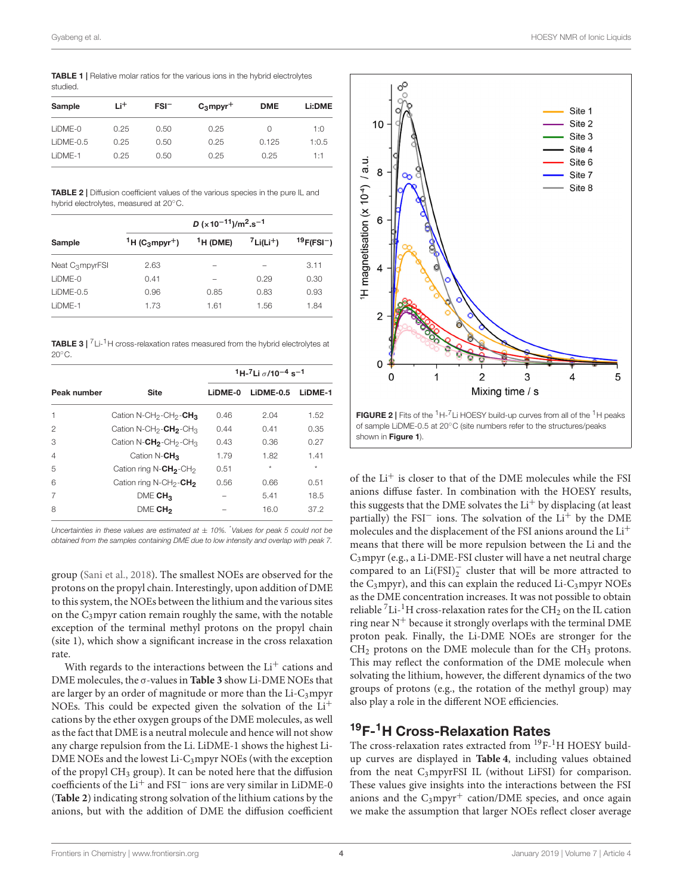<span id="page-3-0"></span>TABLE 1 | Relative molar ratios for the various ions in the hybrid electrolytes studied.

| Sample      | Li <sup>+</sup> | $FSI^-$ | $C_3$ mpyr <sup>+</sup> | <b>DME</b> | Li:DME |  |
|-------------|-----------------|---------|-------------------------|------------|--------|--|
| $LIDME-0$   | 0.25            | 0.50    | 0.25                    | $^{()}$    | 1:0    |  |
| $LIDME-0.5$ | 0.25            | 0.50    | 0.25                    | 0.125      | 1:0.5  |  |
| I iDMF-1    | 0.25            | 0.50    | 0.25                    | 0.25       | 1:1    |  |

<span id="page-3-1"></span>TABLE 2 | Diffusion coefficient values of the various species in the pure IL and hybrid electrolytes, measured at 20◦C.

|                             | D ( $\times$ 10 <sup>-11</sup> )/m <sup>2</sup> .s <sup>-1</sup> |              |                          |                   |  |
|-----------------------------|------------------------------------------------------------------|--------------|--------------------------|-------------------|--|
| Sample                      | <sup>1</sup> H (C <sub>3</sub> mpyr <sup>+</sup> )               | $^1$ H (DME) | $7$ Li(Li <sup>+</sup> ) | $19$ F(FSI $^-$ ) |  |
| Neat C <sub>3</sub> mpyrFSI | 2.63                                                             | -            |                          | 3.11              |  |
| $LIDME-0$                   | 0.41                                                             |              | 0.29                     | 0.30              |  |
| $LIDME-0.5$                 | 0.96                                                             | 0.85         | 0.83                     | 0.93              |  |
| LIDME-1                     | 1.73                                                             | 1.61         | 1.56                     | 1.84              |  |

<span id="page-3-2"></span>**TABLE 3**  $\vert$  <sup>7</sup> Li-<sup>1</sup> H cross-relaxation rates measured from the hybrid electrolytes at 20°<sub>C</sub>

|                |                                                            | $1H-7Li \sigma/10^{-4} s^{-1}$ |           |         |  |
|----------------|------------------------------------------------------------|--------------------------------|-----------|---------|--|
| Peak number    | <b>Site</b>                                                | LIDME-0                        | LIDME-0.5 | LIDME-1 |  |
| 1              | Cation N-CH <sub>2</sub> -CH <sub>2</sub> -CH <sub>3</sub> | 0.46                           | 2.04      | 1.52    |  |
| 2              | Cation N-CH <sub>2</sub> -CH <sub>3</sub> -CH <sub>3</sub> | 0.44                           | 0.41      | 0.35    |  |
| З              | Cation N- $CH_2$ -CH <sub>2</sub> -CH <sub>3</sub>         | 0.43                           | 0.36      | 0.27    |  |
| $\overline{4}$ | Cation N- $CH_3$                                           | 1.79                           | 1.82      | 1.41    |  |
| 5              | Cation ring N-CH <sub>2</sub> -CH <sub>2</sub>             | 0.51                           | $\star$   | $\star$ |  |
| 6              | Cation ring N-CH <sub>2</sub> -CH <sub>2</sub>             | 0.56                           | 0.66      | 0.51    |  |
| 7              | DME CH <sub>3</sub>                                        |                                | 5.41      | 18.5    |  |
| 8              | DME CH <sub>2</sub>                                        |                                | 16.0      | 37.2    |  |

Uncertainties in these values are estimated at  $\pm$  10%. Values for peak 5 could not be obtained from the samples containing DME due to low intensity and overlap with peak 7.

group [\(Sani et al., 2018\)](#page-5-10). The smallest NOEs are observed for the protons on the propyl chain. Interestingly, upon addition of DME to this system, the NOEs between the lithium and the various sites on the  $C_3$ mpyr cation remain roughly the same, with the notable exception of the terminal methyl protons on the propyl chain (site 1), which show a significant increase in the cross relaxation rate.

With regards to the interactions between the  $Li<sup>+</sup>$  cations and DME molecules, the σ-values in **[Table 3](#page-3-2)** show Li-DME NOEs that are larger by an order of magnitude or more than the  $Li-C<sub>3</sub>mpyr$ NOEs. This could be expected given the solvation of the Li<sup>+</sup> cations by the ether oxygen groups of the DME molecules, as well as the fact that DME is a neutral molecule and hence will not show any charge repulsion from the Li. LiDME-1 shows the highest Li-DME NOEs and the lowest Li-C<sub>3</sub>mpyr NOEs (with the exception of the propyl CH<sup>3</sup> group). It can be noted here that the diffusion coefficients of the Li<sup>+</sup> and FSI<sup>−</sup> ions are very similar in LiDME-0 (**[Table 2](#page-3-1)**) indicating strong solvation of the lithium cations by the anions, but with the addition of DME the diffusion coefficient





of the Li<sup>+</sup> is closer to that of the DME molecules while the FSI anions diffuse faster. In combination with the HOESY results, this suggests that the DME solvates the  $Li<sup>+</sup>$  by displacing (at least partially) the FSI<sup>-</sup> ions. The solvation of the  $Li<sup>+</sup>$  by the DME molecules and the displacement of the FSI anions around the Li<sup>+</sup> means that there will be more repulsion between the Li and the C3mpyr (e.g., a Li-DME-FSI cluster will have a net neutral charge compared to an  $Li(FSI)_2^-$  cluster that will be more attracted to the  $C_3$ mpyr), and this can explain the reduced Li- $C_3$ mpyr NOEs as the DME concentration increases. It was not possible to obtain reliable <sup>7</sup>Li-<sup>1</sup>H cross-relaxation rates for the CH<sub>2</sub> on the IL cation ring near  $N^+$  because it strongly overlaps with the terminal DME proton peak. Finally, the Li-DME NOEs are stronger for the  $CH<sub>2</sub>$  protons on the DME molecule than for the  $CH<sub>3</sub>$  protons. This may reflect the conformation of the DME molecule when solvating the lithium, however, the different dynamics of the two groups of protons (e.g., the rotation of the methyl group) may also play a role in the different NOE efficiencies.

# <sup>19</sup>F-1H Cross-Relaxation Rates

<span id="page-3-3"></span>shown in [Figure 1](#page-2-0)).

The cross-relaxation rates extracted from <sup>19</sup>F-<sup>1</sup>H HOESY buildup curves are displayed in **[Table 4](#page-4-3)**, including values obtained from the neat C<sub>3</sub>mpyrFSI IL (without LiFSI) for comparison. These values give insights into the interactions between the FSI anions and the  $C_3$ mpyr<sup>+</sup> cation/DME species, and once again we make the assumption that larger NOEs reflect closer average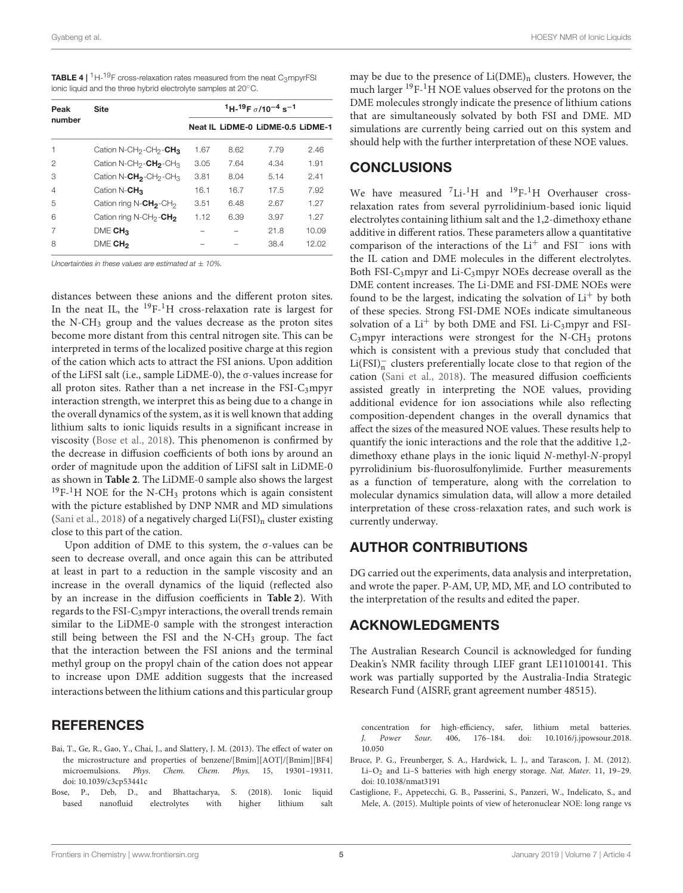<span id="page-4-3"></span>

| <b>TABLE 4</b>   ${}^{1}H-{}^{19}F$ cross-relaxation rates measured from the neat C <sub>3</sub> mpyrFSI |
|----------------------------------------------------------------------------------------------------------|
| ionic liquid and the three hybrid electrolyte samples at 20°C.                                           |

| Peak<br>number | <b>Site</b>                                                | $1H-19F$ $\sigma$ /10 <sup>-4</sup> s <sup>-1</sup> |      |                                   |       |
|----------------|------------------------------------------------------------|-----------------------------------------------------|------|-----------------------------------|-------|
|                |                                                            |                                                     |      | Neat IL LIDME-0 LIDME-0.5 LIDME-1 |       |
|                | Cation N-CH <sub>2</sub> -CH <sub>2</sub> -CH <sub>3</sub> | 1.67                                                | 8.62 | 7.79                              | 2.46  |
| 2              | Cation N-CH <sub>2</sub> -CH <sub>2</sub> -CH <sub>3</sub> | 3.05                                                | 7.64 | 4.34                              | 1.91  |
| З              | Cation N- $CH_2$ -CH <sub>2</sub> -CH <sub>3</sub>         | 3.81                                                | 8.04 | 5.14                              | 2.41  |
| 4              | Cation N-CH <sub>3</sub>                                   | 16.1                                                | 16.7 | 17.5                              | 7.92  |
| 5              | Cation ring N-CH <sub>2</sub> -CH <sub>2</sub>             | 3.51                                                | 6.48 | 2.67                              | 1.27  |
| 6              | Cation ring N-CH <sub>2</sub> -CH <sub>2</sub>             | 1.12                                                | 6.39 | 3.97                              | 1.27  |
|                | DME CH <sub>3</sub>                                        |                                                     |      | 21.8                              | 10.09 |
| 8              | DME CH <sub>2</sub>                                        |                                                     |      | 38.4                              | 12.02 |

Uncertainties in these values are estimated at  $\pm 10\%$ 

distances between these anions and the different proton sites. In the neat IL, the  $^{19}F^{-1}H$  cross-relaxation rate is largest for the N-CH<sup>3</sup> group and the values decrease as the proton sites become more distant from this central nitrogen site. This can be interpreted in terms of the localized positive charge at this region of the cation which acts to attract the FSI anions. Upon addition of the LiFSI salt (i.e., sample LiDME-0), the σ-values increase for all proton sites. Rather than a net increase in the  $FSI-C_3mpyr$ interaction strength, we interpret this as being due to a change in the overall dynamics of the system, as it is well known that adding lithium salts to ionic liquids results in a significant increase in viscosity [\(Bose et al., 2018\)](#page-4-4). This phenomenon is confirmed by the decrease in diffusion coefficients of both ions by around an order of magnitude upon the addition of LiFSI salt in LiDME-0 as shown in **[Table 2](#page-3-1)**. The LiDME-0 sample also shows the largest  $19F-1H$  NOE for the N-CH<sub>3</sub> protons which is again consistent with the picture established by DNP NMR and MD simulations [\(Sani et al., 2018\)](#page-5-10) of a negatively charged  $Li(FSI)_{n}$  cluster existing close to this part of the cation.

Upon addition of DME to this system, the σ-values can be seen to decrease overall, and once again this can be attributed at least in part to a reduction in the sample viscosity and an increase in the overall dynamics of the liquid (reflected also by an increase in the diffusion coefficients in **[Table 2](#page-3-1)**). With regards to the FSI-C3mpyr interactions, the overall trends remain similar to the LiDME-0 sample with the strongest interaction still being between the FSI and the N-CH<sup>3</sup> group. The fact that the interaction between the FSI anions and the terminal methyl group on the propyl chain of the cation does not appear to increase upon DME addition suggests that the increased interactions between the lithium cations and this particular group

## **REFERENCES**

- <span id="page-4-1"></span>Bai, T., Ge, R., Gao, Y., Chai, J., and Slattery, J. M. (2013). The effect of water on the microstructure and properties of benzene/[Bmim][AOT]/[Bmim][BF4] microemulsions. Phys. Chem. Chem. Phys. 15, 19301–19311. doi: [10.1039/c3cp53441c](https://doi.org/10.1039/c3cp53441c)
- <span id="page-4-4"></span>Bose, P., Deb, D., and Bhattacharya, S. (2018). Ionic liquid based nanofluid electrolytes with higher lithium salt

may be due to the presence of  $Li(DME)_n$  clusters. However, the much larger  $^{19}F^{-1}H$  NOE values observed for the protons on the DME molecules strongly indicate the presence of lithium cations that are simultaneously solvated by both FSI and DME. MD simulations are currently being carried out on this system and should help with the further interpretation of these NOE values.

## **CONCLUSIONS**

We have measured  ${}^{7}$ Li- ${}^{1}$ H and  ${}^{19}$ F- ${}^{1}$ H Overhauser crossrelaxation rates from several pyrrolidinium-based ionic liquid electrolytes containing lithium salt and the 1,2-dimethoxy ethane additive in different ratios. These parameters allow a quantitative comparison of the interactions of the Li<sup>+</sup> and FSI<sup>−</sup> ions with the IL cation and DME molecules in the different electrolytes. Both FSI-C3mpyr and Li-C3mpyr NOEs decrease overall as the DME content increases. The Li-DME and FSI-DME NOEs were found to be the largest, indicating the solvation of  $Li<sup>+</sup>$  by both of these species. Strong FSI-DME NOEs indicate simultaneous solvation of a  $Li^+$  by both DME and FSI. Li-C<sub>3</sub>mpyr and FSI- $C_3$ mpyr interactions were strongest for the N-CH<sub>3</sub> protons which is consistent with a previous study that concluded that  $\rm Li(FSI)_n^-$  clusters preferentially locate close to that region of the cation [\(Sani et al., 2018\)](#page-5-10). The measured diffusion coefficients assisted greatly in interpreting the NOE values, providing additional evidence for ion associations while also reflecting composition-dependent changes in the overall dynamics that affect the sizes of the measured NOE values. These results help to quantify the ionic interactions and the role that the additive 1,2 dimethoxy ethane plays in the ionic liquid N-methyl-N-propyl pyrrolidinium bis-fluorosulfonylimide. Further measurements as a function of temperature, along with the correlation to molecular dynamics simulation data, will allow a more detailed interpretation of these cross-relaxation rates, and such work is currently underway.

## AUTHOR CONTRIBUTIONS

DG carried out the experiments, data analysis and interpretation, and wrote the paper. P-AM, UP, MD, MF, and LO contributed to the interpretation of the results and edited the paper.

## ACKNOWLEDGMENTS

The Australian Research Council is acknowledged for funding Deakin's NMR facility through LIEF grant LE110100141. This work was partially supported by the Australia-India Strategic Research Fund (AISRF, grant agreement number 48515).

concentration for high-efficiency, safer, lithium metal batteries. J. Power Sour. [406, 176–184. doi: 10.1016/j.jpowsour.2018.](https://doi.org/10.1016/j.jpowsour.2018.10.050) 10.050

- <span id="page-4-0"></span>Bruce, P. G., Freunberger, S. A., Hardwick, L. J., and Tarascon, J. M. (2012). Li–O<sup>2</sup> and Li–S batteries with high energy storage. Nat. Mater. 11, 19–29. doi: [10.1038/nmat3191](https://doi.org/10.1038/nmat3191)
- <span id="page-4-2"></span>Castiglione, F., Appetecchi, G. B., Passerini, S., Panzeri, W., Indelicato, S., and Mele, A. (2015). Multiple points of view of heteronuclear NOE: long range vs